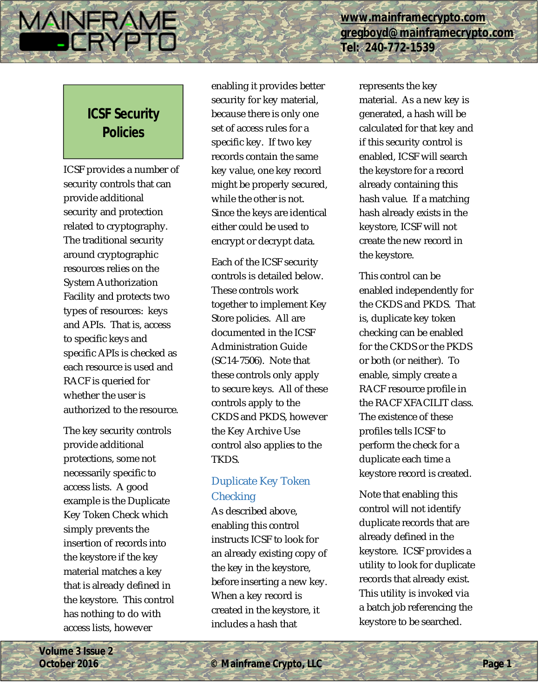**[www.mainframecrypto.com](http://www.mainframecrypto.com) [gregboyd@mainframecrypto.com](mailto:gregboyd@mainframecrypto.com) Tel: 240-772-1539**

# **ICSF Security Policies**

**MAINERAME DERYP** 

> ICSF provides a number of security controls that can provide additional security and protection related to cryptography. The traditional security around cryptographic resources relies on the System Authorization Facility and protects two types of resources: keys and APIs. That is, access to specific keys and specific APIs is checked as each resource is used and RACF is queried for whether the user is authorized to the resource.

The key security controls provide additional protections, some not necessarily specific to access lists. A good example is the Duplicate Key Token Check which simply prevents the insertion of records into the keystore if the key material matches a key that is already defined in the keystore. This control has nothing to do with access lists, however

enabling it provides better security for key material, because there is only one set of access rules for a specific key. If two key records contain the same key value, one key record might be properly secured, while the other is not. Since the keys are identical either could be used to encrypt or decrypt data.

Each of the ICSF security controls is detailed below. These controls work together to implement Key Store policies. All are documented in the ICSF Administration Guide (SC14-7506). Note that these controls only apply to secure keys. All of these controls apply to the CKDS and PKDS, however the Key Archive Use control also applies to the TKDS.

## Duplicate Key Token **Checking**

As described above, enabling this control instructs ICSF to look for an already existing copy of the key in the keystore, before inserting a new key. When a key record is created in the keystore, it includes a hash that

represents the key material. As a new key is generated, a hash will be calculated for that key and if this security control is enabled, ICSF will search the keystore for a record already containing this hash value. If a matching hash already exists in the keystore, ICSF will not create the new record in the keystore.

This control can be enabled independently for the CKDS and PKDS. That is, duplicate key token checking can be enabled for the CKDS or the PKDS or both (or neither). To enable, simply create a RACF resource profile in the RACF XFACILIT class. The existence of these profiles tells ICSF to perform the check for a duplicate each time a keystore record is created.

Note that enabling this control will not identify duplicate records that are already defined in the keystore. ICSF provides a utility to look for duplicate records that already exist. This utility is invoked via a batch job referencing the keystore to be searched.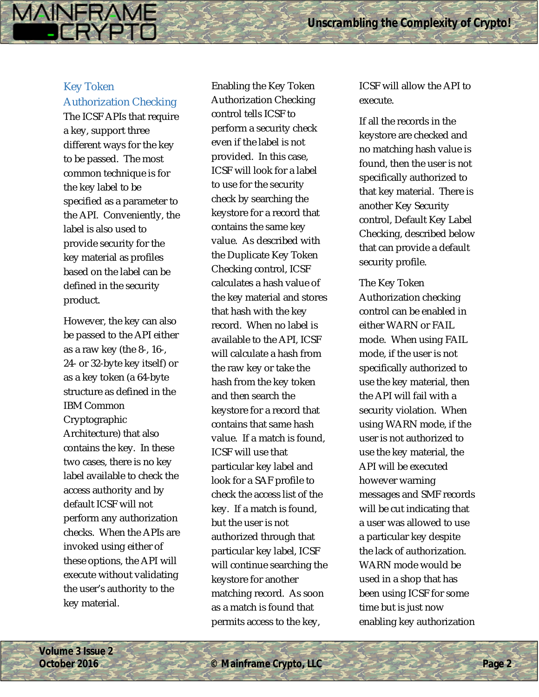## Key Token Authorization Checking

**MANFRAME** 

The ICSF APIs that require a key, support three different ways for the key to be passed. The most common technique is for the key label to be specified as a parameter to the API. Conveniently, the label is also used to provide security for the key material as profiles based on the label can be defined in the security product.

However, the key can also be passed to the API either as a raw key (the 8-, 16-, 24- or 32-byte key itself) or as a key token (a 64-byte structure as defined in the IBM Common Cryptographic Architecture) that also contains the key. In these two cases, there is no key label available to check the access authority and by default ICSF will not perform any authorization checks. When the APIs are invoked using either of these options, the API will execute without validating the user's authority to the key material.

Enabling the Key Token Authorization Checking control tells ICSF to perform a security check even if the label is not provided. In this case, ICSF will look for a label to use for the security check by searching the keystore for a record that contains the same key value. As described with the Duplicate Key Token Checking control, ICSF calculates a hash value of the key material and stores that hash with the key record. When no label is available to the API, ICSF will calculate a hash from the raw key or take the hash from the key token and then search the keystore for a record that contains that same hash value. If a match is found, ICSF will use that particular key label and look for a SAF profile to check the access list of the key. If a match is found, but the user is not authorized through that particular key label, ICSF will continue searching the keystore for another matching record. As soon as a match is found that permits access to the key,

ICSF will allow the API to execute.

If all the records in the keystore are checked and no matching hash value is found, then the user is not specifically authorized to that key material. There is another Key Security control, Default Key Label Checking, described below that can provide a default security profile.

The Key Token Authorization checking control can be enabled in either WARN or FAIL mode. When using FAIL mode, if the user is not specifically authorized to use the key material, then the API will fail with a security violation. When using WARN mode, if the user is not authorized to use the key material, the API will be executed however warning messages and SMF records will be cut indicating that a user was allowed to use a particular key despite the lack of authorization. WARN mode would be used in a shop that has been using ICSF for some time but is just now enabling key authorization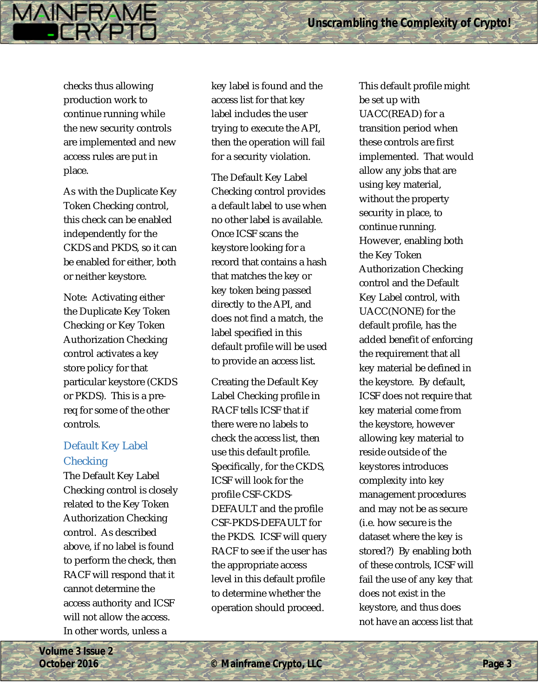checks thus allowing production work to continue running while the new security controls are implemented and new access rules are put in place.

**MAINFRAME** 

As with the Duplicate Key Token Checking control, this check can be enabled independently for the CKDS and PKDS, so it can be enabled for either, both or neither keystore.

Note: Activating either the Duplicate Key Token Checking or Key Token Authorization Checking control activates a key store policy for that particular keystore (CKDS or PKDS). This is a prereq for some of the other controls.

#### Default Key Label **Checking**

The Default Key Label Checking control is closely related to the Key Token Authorization Checking control. As described above, if no label is found to perform the check, then RACF will respond that it cannot determine the access authority and ICSF will not allow the access. In other words, unless a

key label is found and the access list for that key label includes the user trying to execute the API, then the operation will fail for a security violation.

The Default Key Label Checking control provides a default label to use when no other label is available. Once ICSF scans the keystore looking for a record that contains a hash that matches the key or key token being passed directly to the API, and does not find a match, the label specified in this default profile will be used to provide an access list.

Creating the Default Key Label Checking profile in RACF tells ICSF that if there were no labels to check the access list, then use this default profile. Specifically, for the CKDS, ICSF will look for the profile CSF-CKDS-DEFAULT and the profile CSF-PKDS-DEFAULT for the PKDS. ICSF will query RACF to see if the user has the appropriate access level in this default profile to determine whether the operation should proceed.

This default profile might be set up with UACC(READ) for a transition period when these controls are first implemented. That would allow any jobs that are using key material, without the property security in place, to continue running. However, enabling both the Key Token Authorization Checking control and the Default Key Label control, with UACC(NONE) for the default profile, has the added benefit of enforcing the requirement that all key material be defined in the keystore. By default, ICSF does not require that key material come from the keystore, however allowing key material to reside outside of the keystores introduces complexity into key management procedures and may not be as secure (i.e. how secure is the dataset where the key is stored?) By enabling both of these controls, ICSF will fail the use of any key that does not exist in the keystore, and thus does not have an access list that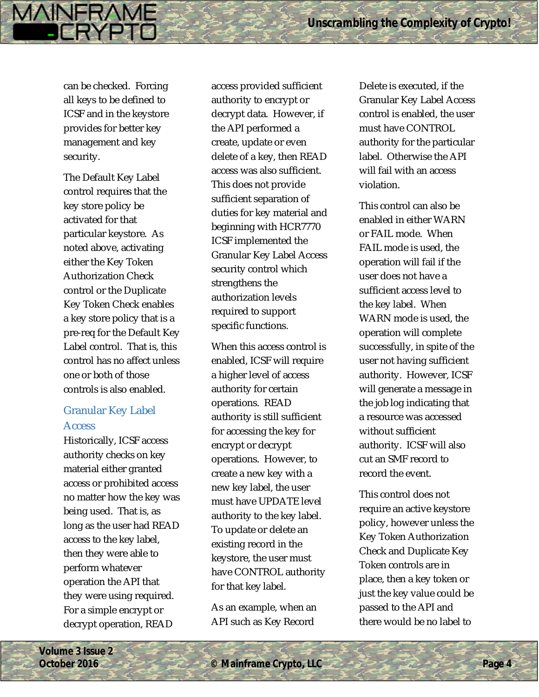can be checked. Forcing all keys to be defined to ICSF and in the keystore provides for better key management and key security.

**MAINFRAME** 

The Default Key Label control requires that the key store policy be activated for that particular keystore. As noted above, activating either the Key Token Authorization Check control or the Duplicate Key Token Check enables a key store policy that is a pre-req for the Default Key Label control. That is, this control has no affect unless one or both of those controls is also enabled.

### Granular Key Label **Access**

Historically, ICSF access authority checks on key material either granted access or prohibited access no matter how the key was being used. That is, as long as the user had READ access to the key label, then they were able to perform whatever operation the API that they were using required. For a simple encrypt or decrypt operation, READ

access provided sufficient authority to encrypt or decrypt data. However, if the API performed a create, update or even delete of a key, then READ access was also sufficient. This does not provide sufficient separation of duties for key material and beginning with HCR7770 ICSF implemented the Granular Key Label Access security control which strengthens the authorization levels required to support specific functions.

When this access control is enabled, ICSF will require a higher level of access authority for certain operations. READ authority is still sufficient for accessing the key for encrypt or decrypt operations. However, to create a new key with a new key label, the user must have UPDATE level authority to the key label. To update or delete an existing record in the keystore, the user must have CONTROL authority for that key label.

As an example, when an API such as Key Record

Delete is executed, if the Granular Key Label Access control is enabled, the user must have CONTROL authority for the particular label. Otherwise the API will fail with an access violation.

This control can also be enabled in either WARN or FAIL mode. When FAIL mode is used, the operation will fail if the user does not have a sufficient access level to the key label. When WARN mode is used, the operation will complete successfully, in spite of the user not having sufficient authority. However, ICSF will generate a message in the job log indicating that a resource was accessed without sufficient authority. ICSF will also cut an SMF record to record the event.

This control does not require an active keystore policy, however unless the Key Token Authorization Check and Duplicate Key Token controls are in place, then a key token or just the key value could be passed to the API and there would be no label to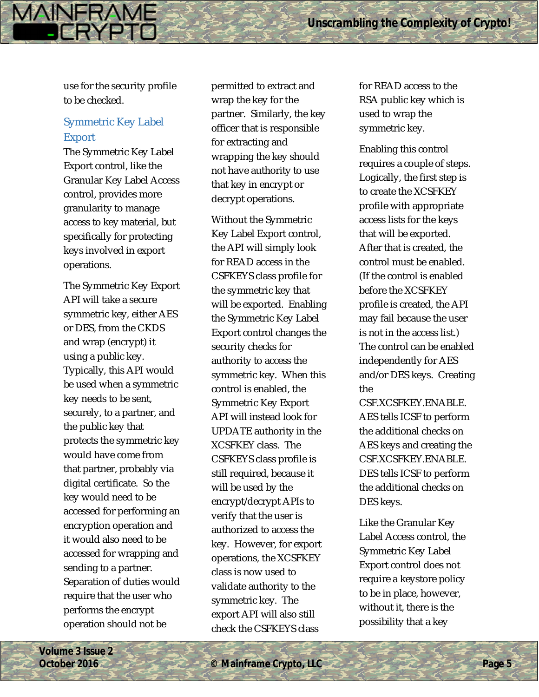use for the security profile to be checked.

**MAINERAME** 

#### Symmetric Key Label Export

The Symmetric Key Label Export control, like the Granular Key Label Access control, provides more granularity to manage access to key material, but specifically for protecting keys involved in export operations.

The Symmetric Key Export API will take a secure symmetric key, either AES or DES, from the CKDS and wrap (encrypt) it using a public key. Typically, this API would be used when a symmetric key needs to be sent, securely, to a partner, and the public key that protects the symmetric key would have come from that partner, probably via digital certificate. So the key would need to be accessed for performing an encryption operation and it would also need to be accessed for wrapping and sending to a partner. Separation of duties would require that the user who performs the encrypt operation should not be

permitted to extract and wrap the key for the partner. Similarly, the key officer that is responsible for extracting and wrapping the key should not have authority to use that key in encrypt or decrypt operations.

Without the Symmetric Key Label Export control, the API will simply look for READ access in the CSFKEYS class profile for the symmetric key that will be exported. Enabling the Symmetric Key Label Export control changes the security checks for authority to access the symmetric key. When this control is enabled, the Symmetric Key Export API will instead look for UPDATE authority in the XCSFKEY class. The CSFKEYS class profile is still required, because it will be used by the encrypt/decrypt APIs to verify that the user is authorized to access the key. However, for export operations, the XCSFKEY class is now used to validate authority to the symmetric key. The export API will also still check the CSFKEYS class

for READ access to the RSA public key which is used to wrap the symmetric key.

Enabling this control requires a couple of steps. Logically, the first step is to create the XCSFKEY profile with appropriate access lists for the keys that will be exported. After that is created, the control must be enabled. (If the control is enabled before the XCSFKEY profile is created, the API may fail because the user is not in the access list.) The control can be enabled independently for AES and/or DES keys. Creating the

CSF.XCSFKEY.ENABLE. AES tells ICSF to perform the additional checks on AES keys and creating the CSF.XCSFKEY.ENABLE. DES tells ICSF to perform the additional checks on DES keys.

Like the Granular Key Label Access control, the Symmetric Key Label Export control does not require a keystore policy to be in place, however, without it, there is the possibility that a key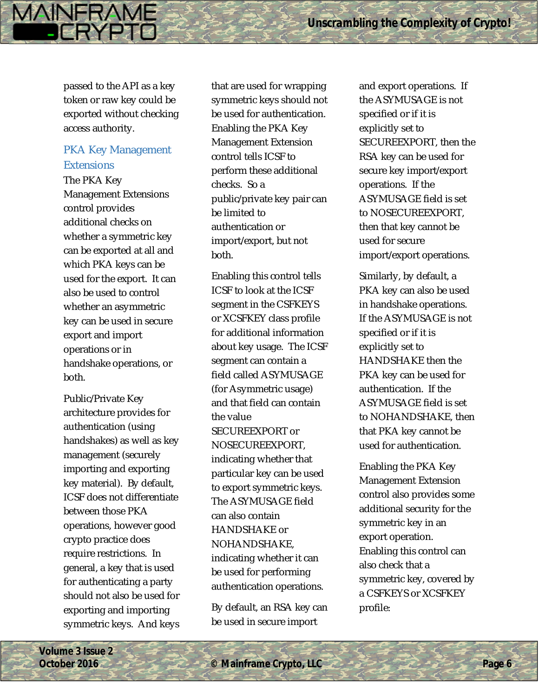passed to the API as a key token or raw key could be exported without checking access authority.

**MAINFRAME** 

### PKA Key Management **Extensions**

The PKA Key Management Extensions control provides additional checks on whether a symmetric key can be exported at all and which PKA keys can be used for the export. It can also be used to control whether an asymmetric key can be used in secure export and import operations or in handshake operations, or both.

Public/Private Key architecture provides for authentication (using handshakes) as well as key management (securely importing and exporting key material). By default, ICSF does not differentiate between those PKA operations, however good crypto practice does require restrictions. In general, a key that is used for authenticating a party should not also be used for exporting and importing symmetric keys. And keys that are used for wrapping symmetric keys should not be used for authentication. Enabling the PKA Key Management Extension control tells ICSF to perform these additional checks. So a public/private key pair can be limited to authentication or import/export, but not both.

Enabling this control tells ICSF to look at the ICSF segment in the CSFKEYS or XCSFKEY class profile for additional information about key usage. The ICSF segment can contain a field called ASYMUSAGE (for Asymmetric usage) and that field can contain the value SECUREEXPORT or NOSECUREEXPORT, indicating whether that particular key can be used to export symmetric keys. The ASYMUSAGE field can also contain HANDSHAKE or NOHANDSHAKE, indicating whether it can be used for performing authentication operations.

By default, an RSA key can be used in secure import

and export operations. If the ASYMUSAGE is not specified or if it is explicitly set to SECUREEXPORT, then the RSA key can be used for secure key import/export operations. If the ASYMUSAGE field is set to NOSECUREEXPORT, then that key cannot be used for secure import/export operations.

Similarly, by default, a PKA key can also be used in handshake operations. If the ASYMUSAGE is not specified or if it is explicitly set to HANDSHAKE then the PKA key can be used for authentication. If the ASYMUSAGE field is set to NOHANDSHAKE, then that PKA key cannot be used for authentication.

Enabling the PKA Key Management Extension control also provides some additional security for the symmetric key in an export operation. Enabling this control can also check that a symmetric key, covered by a CSFKEYS or XCSFKEY profile: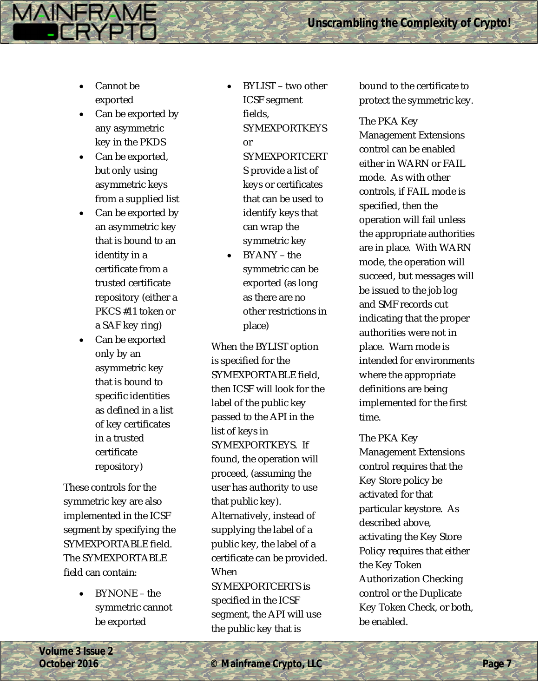Cannot be exported

MAINFRAME

- Can be exported by any asymmetric key in the PKDS
- Can be exported, but only using asymmetric keys from a supplied list
- Can be exported by an asymmetric key that is bound to an identity in a certificate from a trusted certificate repository (either a PKCS #11 token or a SAF key ring)
- Can be exported only by an asymmetric key that is bound to specific identities as defined in a list of key certificates in a trusted certificate repository)

These controls for the symmetric key are also implemented in the ICSF segment by specifying the SYMEXPORTABLE field. The SYMEXPORTABLE field can contain:

> BYNONE – the symmetric cannot be exported

 BYLIST – two other ICSF segment fields, **SYMEXPORTKEYS** or

SYMEXPORTCERT S provide a list of keys or certificates that can be used to identify keys that can wrap the symmetric key

 BYANY – the symmetric can be exported (as long as there are no other restrictions in place)

When the BYLIST option is specified for the SYMFXPORTABLE field. then ICSF will look for the label of the public key passed to the API in the list of keys in SYMEXPORTKEYS. If found, the operation will proceed, (assuming the user has authority to use that public key). Alternatively, instead of supplying the label of a public key, the label of a certificate can be provided. **When** SYMEXPORTCERTS is specified in the ICSF segment, the API will use the public key that is

bound to the certificate to protect the symmetric key.

The PKA Key Management Extensions control can be enabled either in WARN or FAIL mode. As with other controls, if FAIL mode is specified, then the operation will fail unless the appropriate authorities are in place. With WARN mode, the operation will succeed, but messages will be issued to the job log and SMF records cut indicating that the proper authorities were not in place. Warn mode is intended for environments where the appropriate definitions are being implemented for the first time.

The PKA Key Management Extensions control requires that the Key Store policy be activated for that particular keystore. As described above, activating the Key Store Policy requires that either the Key Token Authorization Checking control or the Duplicate Key Token Check, or both, be enabled.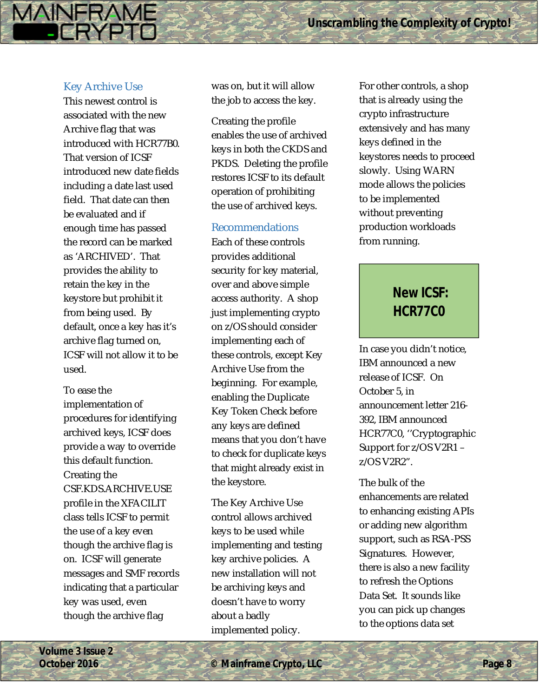#### Key Archive Use

MAINFRAME

This newest control is associated with the new Archive flag that was introduced with HCR77B0. That version of ICSF introduced new date fields including a date last used field. That date can then be evaluated and if enough time has passed the record can be marked as 'ARCHIVED'. That provides the ability to retain the key in the keystore but prohibit it from being used. By default, once a key has it's archive flag turned on, ICSF will not allow it to be used.

To ease the implementation of procedures for identifying archived keys, ICSF does provide a way to override this default function. Creating the CSF.KDS.ARCHIVE.USE profile in the XFACILIT class tells ICSF to permit the use of a key even though the archive flag is on. ICSF will generate messages and SMF records indicating that a particular key was used, even though the archive flag

was on, but it will allow the job to access the key.

Creating the profile enables the use of archived keys in both the CKDS and PKDS. Deleting the profile restores ICSF to its default operation of prohibiting the use of archived keys.

#### Recommendations

Each of these controls provides additional security for key material, over and above simple access authority. A shop just implementing crypto on z/OS should consider implementing each of these controls, except Key Archive Use from the beginning. For example, enabling the Duplicate Key Token Check before any keys are defined means that you don't have to check for duplicate keys that might already exist in the keystore.

The Key Archive Use control allows archived keys to be used while implementing and testing key archive policies. A new installation will not be archiving keys and doesn't have to worry about a badly implemented policy.

For other controls, a shop that is already using the crypto infrastructure extensively and has many keys defined in the keystores needs to proceed slowly. Using WARN mode allows the policies to be implemented without preventing production workloads from running.

# **New ICSF: HCR77C0**

In case you didn't notice, IBM announced a new release of ICSF. On October 5, in announcement letter 216- 392, IBM announced HCR77C0, ''Cryptographic Support for z/OS V2R1 – z/OS V2R2".

The bulk of the enhancements are related to enhancing existing APIs or adding new algorithm support, such as RSA-PSS Signatures. However, there is also a new facility to refresh the Options Data Set. It sounds like you can pick up changes to the options data set